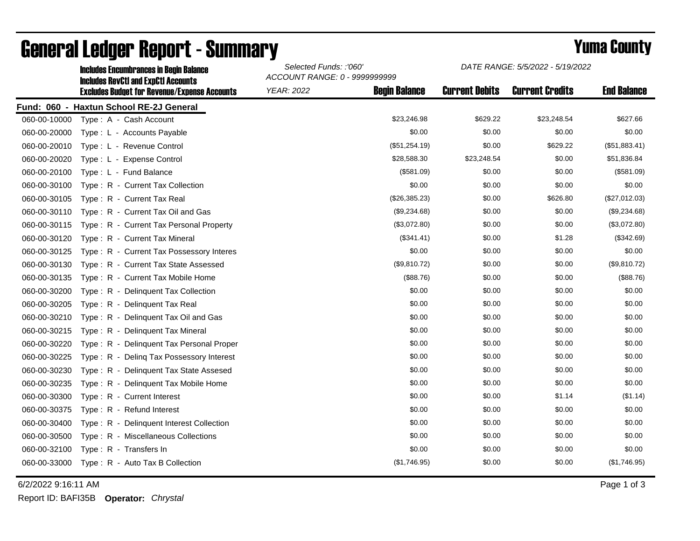|              | Incidues Encumbrances In Beuni Baiance<br><b>Includes RevCtI and ExpCtI Accounts</b> | ACCOUNT RANGE: 0 - 9999999999 |                      |                       |                        |                    |
|--------------|--------------------------------------------------------------------------------------|-------------------------------|----------------------|-----------------------|------------------------|--------------------|
|              | <b>Excludes Budget for Revenue/Expense Accounts</b>                                  | <b>YEAR: 2022</b>             | <b>Begin Balance</b> | <b>Current Debits</b> | <b>Current Credits</b> | <b>End Balance</b> |
|              | Fund: 060 - Haxtun School RE-2J General                                              |                               |                      |                       |                        |                    |
| 060-00-10000 | Type: A - Cash Account                                                               |                               | \$23,246.98          | \$629.22              | \$23,248.54            | \$627.66           |
| 060-00-20000 | Type: L - Accounts Payable                                                           |                               | \$0.00               | \$0.00                | \$0.00                 | \$0.00             |
| 060-00-20010 | Type: L - Revenue Control                                                            |                               | (\$51,254.19)        | \$0.00                | \$629.22               | (\$51,883.41)      |
| 060-00-20020 | Type: L - Expense Control                                                            |                               | \$28,588.30          | \$23,248.54           | \$0.00                 | \$51,836.84        |
| 060-00-20100 | Type: L - Fund Balance                                                               |                               | (\$581.09)           | \$0.00                | \$0.00                 | (\$581.09)         |
| 060-00-30100 | Type: R - Current Tax Collection                                                     |                               | \$0.00               | \$0.00                | \$0.00                 | \$0.00             |
| 060-00-30105 | Type: R - Current Tax Real                                                           |                               | (\$26,385.23)        | \$0.00                | \$626.80               | (\$27,012.03)      |
| 060-00-30110 | Type: R - Current Tax Oil and Gas                                                    |                               | (\$9,234.68)         | \$0.00                | \$0.00                 | (\$9,234.68)       |
| 060-00-30115 | Type: R - Current Tax Personal Property                                              |                               | (\$3,072.80)         | \$0.00                | \$0.00                 | (\$3,072.80)       |
| 060-00-30120 | Type: R - Current Tax Mineral                                                        |                               | (\$341.41)           | \$0.00                | \$1.28                 | (\$342.69)         |
| 060-00-30125 | Type: R - Current Tax Possessory Interes                                             |                               | \$0.00               | \$0.00                | \$0.00                 | \$0.00             |
| 060-00-30130 | Type: R - Current Tax State Assessed                                                 |                               | (\$9,810.72)         | \$0.00                | \$0.00                 | (\$9,810.72)       |
| 060-00-30135 | Type: R - Current Tax Mobile Home                                                    |                               | (\$88.76)            | \$0.00                | \$0.00                 | (\$88.76)          |
| 060-00-30200 | Type: R - Delinquent Tax Collection                                                  |                               | \$0.00               | \$0.00                | \$0.00                 | \$0.00             |
| 060-00-30205 | Type: R - Delinquent Tax Real                                                        |                               | \$0.00               | \$0.00                | \$0.00                 | \$0.00             |
| 060-00-30210 | Type: R - Delinquent Tax Oil and Gas                                                 |                               | \$0.00               | \$0.00                | \$0.00                 | \$0.00             |
| 060-00-30215 | Type: R - Delinquent Tax Mineral                                                     |                               | \$0.00               | \$0.00                | \$0.00                 | \$0.00             |
| 060-00-30220 | Type: R - Delinquent Tax Personal Proper                                             |                               | \$0.00               | \$0.00                | \$0.00                 | \$0.00             |
| 060-00-30225 | Type: R - Deling Tax Possessory Interest                                             |                               | \$0.00               | \$0.00                | \$0.00                 | \$0.00             |
| 060-00-30230 | Type: R - Delinquent Tax State Assesed                                               |                               | \$0.00               | \$0.00                | \$0.00                 | \$0.00             |
| 060-00-30235 | Type: R - Delinquent Tax Mobile Home                                                 |                               | \$0.00               | \$0.00                | \$0.00                 | \$0.00             |
| 060-00-30300 | Type: R - Current Interest                                                           |                               | \$0.00               | \$0.00                | \$1.14                 | (\$1.14)           |
| 060-00-30375 | Type: R - Refund Interest                                                            |                               | \$0.00               | \$0.00                | \$0.00                 | \$0.00             |
| 060-00-30400 | Type: R - Delinquent Interest Collection                                             |                               | \$0.00               | \$0.00                | \$0.00                 | \$0.00             |
| 060-00-30500 | Type: R - Miscellaneous Collections                                                  |                               | \$0.00               | \$0.00                | \$0.00                 | \$0.00             |
| 060-00-32100 | Type: R - Transfers In                                                               |                               | \$0.00               | \$0.00                | \$0.00                 | \$0.00             |
| 060-00-33000 | Type: R - Auto Tax B Collection                                                      |                               | (\$1,746.95)         | \$0.00                | \$0.00                 | (\$1,746.95)       |

## General Ledger Report - Summary **Example 2018** Yuma County Includes Encumbrances in Begin Balance *Selected Funds: :'060'*

6/2/2022 9:16:11 AM Page 1 of 3

Report ID: BAFI35B **Operator:** *Chrystal*

*DATE RANGE: 5/5/2022 - 5/19/2022*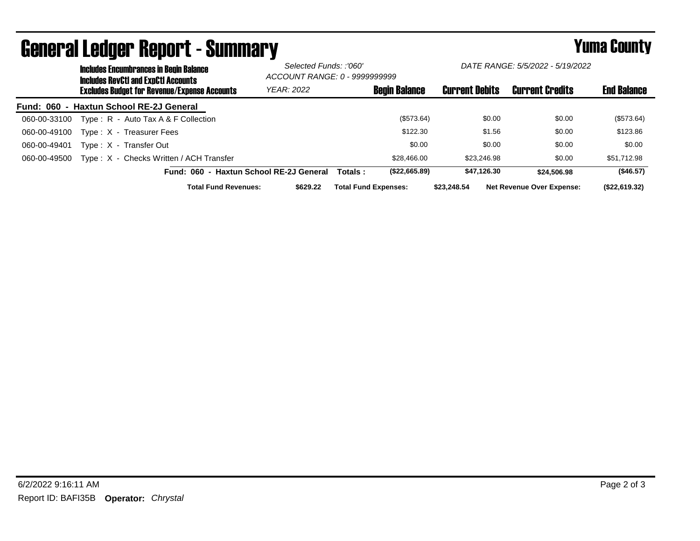|              | <b>Includes Encumbrances in Begin Balance</b><br><b>Includes RevCtI and ExpCtI Accounts</b><br>Excludes Budget for Revenue/Expense Accounts |                                         |                                         | Selected Funds: :'060'<br>ACCOUNT RANGE: 0 - 9999999999 |                       | DATE RANGE: 5/5/2022 - 5/19/2022 |                                  |               |  |
|--------------|---------------------------------------------------------------------------------------------------------------------------------------------|-----------------------------------------|-----------------------------------------|---------------------------------------------------------|-----------------------|----------------------------------|----------------------------------|---------------|--|
|              |                                                                                                                                             |                                         | YEAR: 2022                              | <b>Begin Balance</b>                                    | <b>Current Debits</b> | <b>Current Credits</b>           | <b>End Balance</b>               |               |  |
|              |                                                                                                                                             | Fund: 060 - Haxtun School RE-2J General |                                         |                                                         |                       |                                  |                                  |               |  |
| 060-00-33100 |                                                                                                                                             | Type: $R -$ Auto Tax A & F Collection   |                                         |                                                         | (\$573.64)            | \$0.00                           | \$0.00                           | (\$573.64)    |  |
| 060-00-49100 |                                                                                                                                             | Type: X - Treasurer Fees                |                                         |                                                         | \$122.30              | \$1.56                           | \$0.00                           | \$123.86      |  |
| 060-00-49401 |                                                                                                                                             | Type: X - Transfer Out                  |                                         |                                                         | \$0.00                | \$0.00                           | \$0.00                           | \$0.00        |  |
| 060-00-49500 |                                                                                                                                             | Type: X - Checks Written / ACH Transfer |                                         |                                                         | \$28,466.00           | \$23,246.98                      | \$0.00                           | \$51,712.98   |  |
|              |                                                                                                                                             |                                         | Fund: 060 - Haxtun School RE-2J General | Totals :                                                | (\$22,665.89)         | \$47.126.30                      | \$24,506,98                      | (\$46.57)     |  |
|              |                                                                                                                                             | <b>Total Fund Revenues:</b>             | \$629.22                                | <b>Total Fund Expenses:</b>                             |                       | \$23,248.54                      | <b>Net Revenue Over Expense:</b> | (\$22,619.32) |  |

## General Ledger Report - Summary **Example 2018** Yuma County